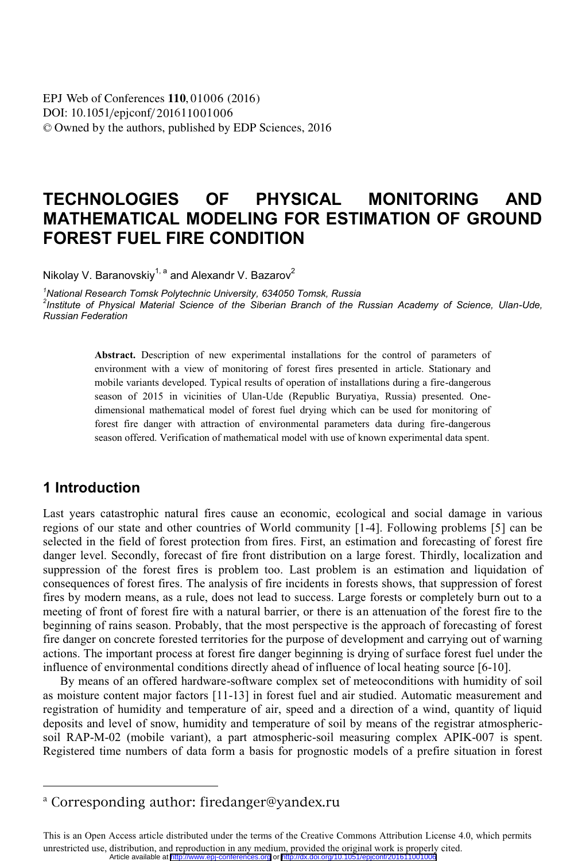DOI: 10.1051/epjconf/201611001006 © Owned by the authors, published by EDP Sciences, 2016 **EPJ** Web of Conferences **110**, 01006 (2016)

# **TECHNOLOGIES OF PHYSICAL MONITORING AND MATHEMATICAL MODELING FOR ESTIMATION OF GROUND FOREST FUEL FIRE CONDITION**

Nikolay V. Baranovskiy<sup>1, a</sup> and Alexandr V. Bazarov<sup>2</sup>

*1 National Research Tomsk Polytechnic University, 634050 Tomsk, Russia 2 Institute of Physical Material Science of the Siberian Branch of the Russian Academy of Science, Ulan-Ude, Russian Federation* 

> **Abstract.** Description of new experimental installations for the control of parameters of environment with a view of monitoring of forest fires presented in article. Stationary and mobile variants developed. Typical results of operation of installations during a fire-dangerous season of 2015 in vicinities of Ulan-Ude (Republic Buryatiya, Russia) presented. Onedimensional mathematical model of forest fuel drying which can be used for monitoring of forest fire danger with attraction of environmental parameters data during fire-dangerous season offered. Verification of mathematical model with use of known experimental data spent.

#### **1 Introduction**

 $\overline{a}$ 

Last years catastrophic natural fires cause an economic, ecological and social damage in various regions of our state and other countries of World community [1-4]. Following problems [5] can be selected in the field of forest protection from fires. First, an estimation and forecasting of forest fire danger level. Secondly, forecast of fire front distribution on a large forest. Thirdly, localization and suppression of the forest fires is problem too. Last problem is an estimation and liquidation of consequences of forest fires. The analysis of fire incidents in forests shows, that suppression of forest fires by modern means, as a rule, does not lead to success. Large forests or completely burn out to a meeting of front of forest fire with a natural barrier, or there is an attenuation of the forest fire to the beginning of rains season. Probably, that the most perspective is the approach of forecasting of forest fire danger on concrete forested territories for the purpose of development and carrying out of warning actions. The important process at forest fire danger beginning is drying of surface forest fuel under the influence of environmental conditions directly ahead of influence of local heating source [6-10].

By means of an offered hardware-software complex set of meteoconditions with humidity of soil as moisture content major factors [11-13] in forest fuel and air studied. Automatic measurement and registration of humidity and temperature of air, speed and a direction of a wind, quantity of liquid deposits and level of snow, humidity and temperature of soil by means of the registrar atmosphericsoil RAP-М-02 (mobile variant), a part atmospheric-soil measuring complex APIK-007 is spent. Registered time numbers of data form a basis for prognostic models of a prefire situation in forest

a Corresponding author: firedanger@yandex.ru

This is an Open Access article distributed under the terms of the Creative Commons Attribution License 4.0, which permits unrestricted use, distribution, and reproduction in any medium, provided the original work is properly cited. Article available at <http://www.epj-conferences.org> or http://dx.doi.org/10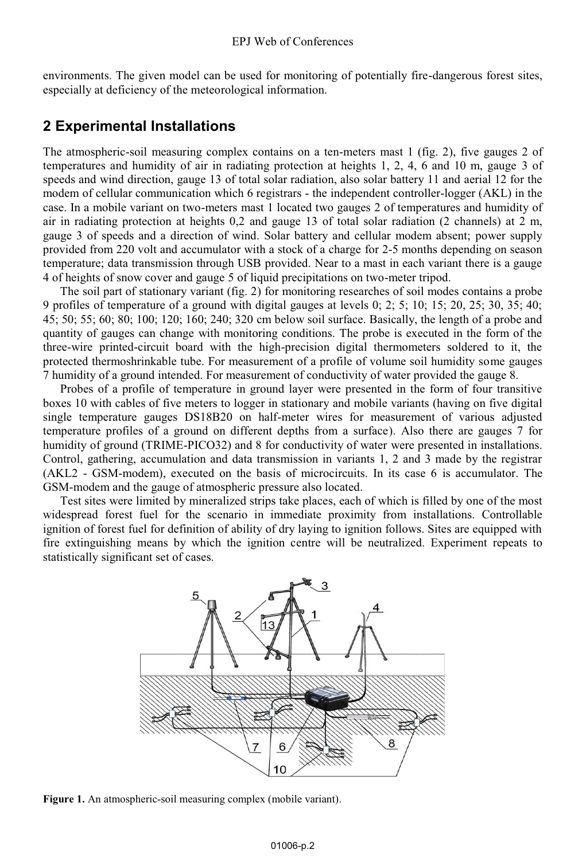environments. The given model can be used for monitoring of potentially fire-dangerous forest sites, especially at deficiency of the meteorological information.

### **2 Experimental Installations**

The atmospheric-soil measuring complex contains on a ten-meters mast 1 (fig. 2), five gauges 2 of temperatures and humidity of air in radiating protection at heights 1, 2, 4, 6 and 10 m, gauge 3 of speeds and wind direction, gauge 13 of total solar radiation, also solar battery 11 and aerial 12 for the modem of cellular communication which 6 registrars - the independent controller-logger (AKL) in the case. In a mobile variant on two-meters mast 1 located two gauges 2 of temperatures and humidity of air in radiating protection at heights 0,2 and gauge 13 of total solar radiation (2 channels) at 2 m, gauge 3 of speeds and a direction of wind. Solar battery and cellular modem absent; power supply provided from 220 volt and accumulator with a stock of a charge for 2-5 months depending on season temperature; data transmission through USB provided. Near to a mast in each variant there is a gauge 4 of heights of snow cover and gauge 5 of liquid precipitations on two-meter tripod.

The soil part of stationary variant (fig. 2) for monitoring researches of soil modes contains a probe 9 profiles of temperature of a ground with digital gauges at levels 0; 2; 5; 10; 15; 20, 25; 30, 35; 40; 45; 50; 55; 60; 80; 100; 120; 160; 240; 320 cm below soil surface. Basically, the length of a probe and quantity of gauges can change with monitoring conditions. The probe is executed in the form of the three-wire printed-circuit board with the high-precision digital thermometers soldered to it, the protected thermoshrinkable tube. For measurement of a profile of volume soil humidity some gauges 7 humidity of a ground intended. For measurement of conductivity of water provided the gauge 8.

Probes of a profile of temperature in ground layer were presented in the form of four transitive boxes 10 with cables of five meters to logger in stationary and mobile variants (having on five digital single temperature gauges DS18B20 on half-meter wires for measurement of various adjusted temperature profiles of a ground on different depths from a surface). Also there are gauges 7 for humidity of ground (TRIME-PICO32) and 8 for conductivity of water were presented in installations. Control, gathering, accumulation and data transmission in variants 1, 2 and 3 made by the registrar (AKL2 - GSM-modem), executed on the basis of microcircuits. In its case 6 is accumulator. The GSM-modem and the gauge of atmospheric pressure also located.

Test sites were limited by mineralized strips take places, each of which is filled by one of the most widespread forest fuel for the scenario in immediate proximity from installations. Controllable ignition of forest fuel for definition of ability of dry laying to ignition follows. Sites are equipped with fire extinguishing means by which the ignition centre will be neutralized. Experiment repeats to statistically significant set of cases.



**Figure 1.** An atmospheric-soil measuring complex (mobile variant).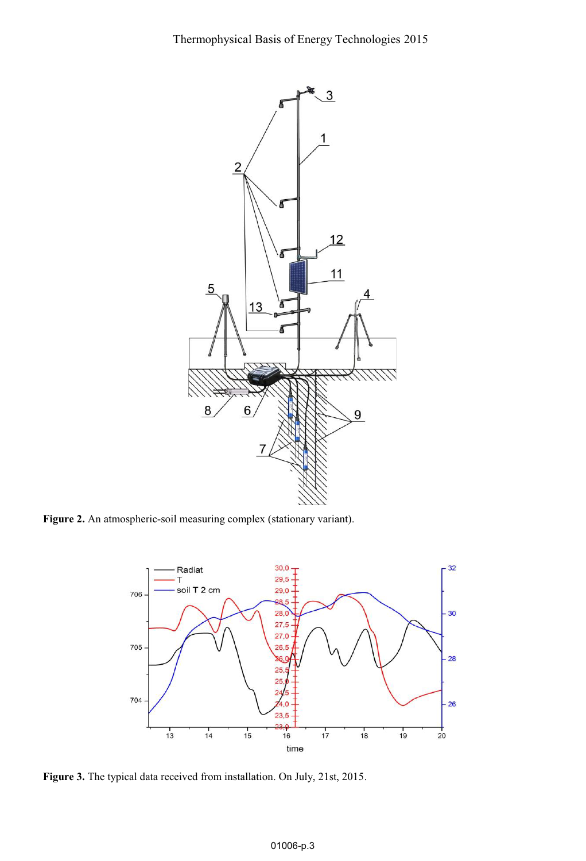Thermophysical Basis of Energy Technologies 2015



**Figure 2.** An atmospheric-soil measuring complex (stationary variant).



**Figure 3.** The typical data received from installation. On July, 21st, 2015.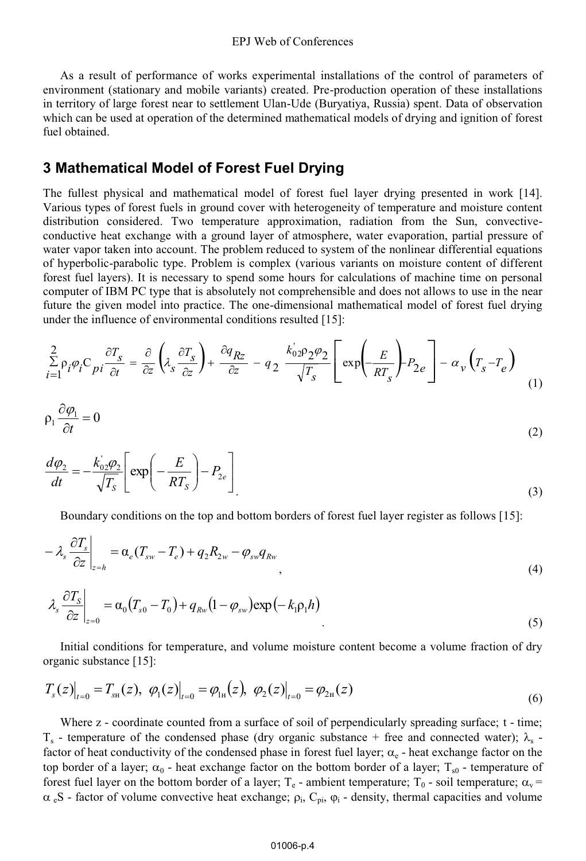As a result of performance of works experimental installations of the control of parameters of environment (stationary and mobile variants) created. Pre-production operation of these installations in territory of large forest near to settlement Ulan-Ude (Buryatiya, Russia) spent. Data of observation which can be used at operation of the determined mathematical models of drying and ignition of forest fuel obtained.

## **3 Mathematical Model of Forest Fuel Drying**

The fullest physical and mathematical model of forest fuel layer drying presented in work [14]. Various types of forest fuels in ground cover with heterogeneity of temperature and moisture content distribution considered. Two temperature approximation, radiation from the Sun, convectiveconductive heat exchange with a ground layer of atmosphere, water evaporation, partial pressure of water vapor taken into account. The problem reduced to system of the nonlinear differential equations of hyperbolic-parabolic type. Problem is complex (various variants on moisture content of different forest fuel layers). It is necessary to spend some hours for calculations of machine time on personal computer of IBM PC type that is absolutely not comprehensible and does not allows to use in the near future the given model into practice. The one-dimensional mathematical model of forest fuel drying under the influence of environmental conditions resulted [15]:

$$
\sum_{i=1}^{2} \rho_i \varphi_i C_{pi} \frac{\partial T_s}{\partial t} = \frac{\partial}{\partial z} \left( \lambda_s \frac{\partial T_s}{\partial z} \right) + \frac{\partial q_{Rz}}{\partial z} - q_2 \frac{k_{02}^2 \varphi_2 \varphi_2}{\sqrt{T_s}} \left[ \exp \left( -\frac{E}{RT_s} \right) P_{2e} \right] - \alpha_v \left( T_s - T_e \right) \tag{1}
$$

$$
\rho_1 \frac{\partial \varphi_1}{\partial t} = 0 \tag{2}
$$

$$
\frac{d\varphi_2}{dt} = -\frac{k_{02}'\varphi_2}{\sqrt{T_S}} \left[ \exp\left(-\frac{E}{RT_S}\right) - P_{2e} \right]
$$
\n(3)

Boundary conditions on the top and bottom borders of forest fuel layer register as follows [15]:

$$
-\lambda_s \frac{\partial T_s}{\partial z}\bigg|_{z=h} = \alpha_e (T_{sw} - T_e) + q_2 R_{2w} - \varphi_{sw} q_{Rw},
$$
\n(4)

$$
\lambda_s \left. \frac{\partial T_s}{\partial z} \right|_{z=0} = \alpha_0 (T_{s0} - T_0) + q_{Rw} (1 - \varphi_{sw}) \exp\left(-k_1 \rho_1 h\right)
$$
\n<sup>(5)</sup>

Initial conditions for temperature, and volume moisture content become a volume fraction of dry organic substance [15]:

$$
T_s(z)\big|_{t=0} = T_{sH}(z), \ \varphi_1(z)\big|_{t=0} = \varphi_{1H}(z), \ \varphi_2(z)\big|_{t=0} = \varphi_{2H}(z)
$$
\n(6)

Where z - coordinate counted from a surface of soil of perpendicularly spreading surface; t - time;  $T_s$  - temperature of the condensed phase (dry organic substance + free and connected water);  $\lambda_s$  factor of heat conductivity of the condensed phase in forest fuel layer;  $\alpha_e$  - heat exchange factor on the top border of a layer;  $\alpha_0$  - heat exchange factor on the bottom border of a layer;  $T_{s0}$  - temperature of forest fuel layer on the bottom border of a layer;  $T_e$  - ambient temperature;  $T_0$  - soil temperature;  $\alpha_v$  =  $\alpha_{e}S$  - factor of volume convective heat exchange;  $\rho_i$ ,  $C_{pi}$ ,  $\varphi_i$  - density, thermal capacities and volume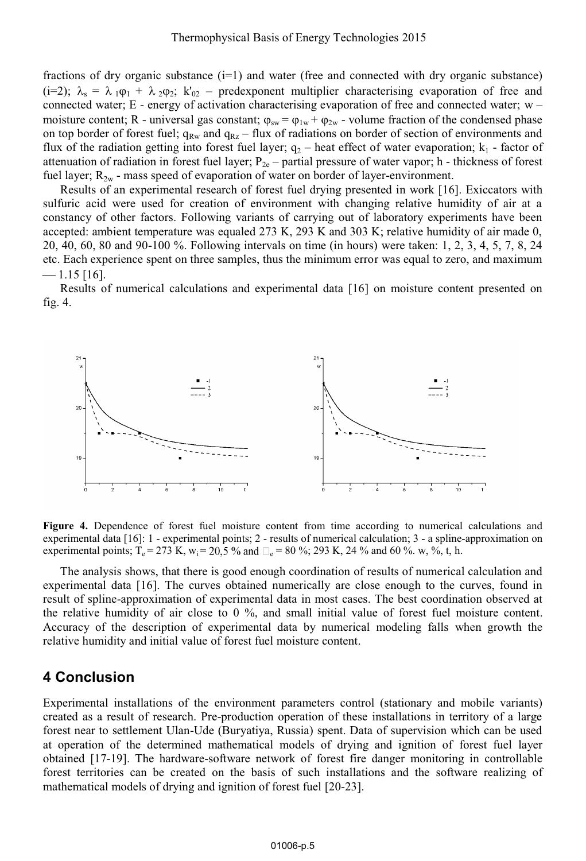fractions of dry organic substance  $(i=1)$  and water (free and connected with dry organic substance) (i=2);  $\lambda_s = \lambda_1 \rho_1 + \lambda_2 \rho_2$ ;  $k'_{02}$  – predexponent multiplier characterising evaporation of free and connected water;  $E$  - energy of activation characterising evaporation of free and connected water;  $w$ moisture content; R - universal gas constant;  $\varphi_{sw} = \varphi_{1w} + \varphi_{2w}$  - volume fraction of the condensed phase on top border of forest fuel;  $q_{Rx}$  and  $q_{Rz}$  – flux of radiations on border of section of environments and flux of the radiation getting into forest fuel layer;  $q_2$  – heat effect of water evaporation;  $k_1$  - factor of attenuation of radiation in forest fuel layer;  $P_{2e}$  – partial pressure of water vapor; h - thickness of forest fuel layer;  $R_{2w}$  - mass speed of evaporation of water on border of layer-environment.

Results of an experimental research of forest fuel drying presented in work [16]. Exiccators with sulfuric acid were used for creation of environment with changing relative humidity of air at a constancy of other factors. Following variants of carrying out of laboratory experiments have been accepted: ambient temperature was equaled 273 K, 293 K and 303 K; relative humidity of air made 0, 20, 40, 60, 80 and 90-100 %. Following intervals on time (in hours) were taken: 1, 2, 3, 4, 5, 7, 8, 24 etc. Each experience spent on three samples, thus the minimum error was equal to zero, and maximum  $-1.15$  [16].

Results of numerical calculations and experimental data [16] on moisture content presented on fig. 4.



**Figure 4.** Dependence of forest fuel moisture content from time according to numerical calculations and experimental data [16]: 1 - experimental points; 2 - results of numerical calculation; 3 - a spline-approximation on experimental points; T<sub>e</sub> = 273 K, w<sub>i</sub> = 20,5 % and  $\Box_e$  = 80 %; 293 K, 24 % and 60 %. w, %, t, h.

The analysis shows, that there is good enough coordination of results of numerical calculation and experimental data [16]. The curves obtained numerically are close enough to the curves, found in result of spline-approximation of experimental data in most cases. The best coordination observed at the relative humidity of air close to 0 %, and small initial value of forest fuel moisture content. Accuracy of the description of experimental data by numerical modeling falls when growth the relative humidity and initial value of forest fuel moisture content.

#### **4 Conclusion**

Experimental installations of the environment parameters control (stationary and mobile variants) created as a result of research. Pre-production operation of these installations in territory of a large forest near to settlement Ulan-Ude (Buryatiya, Russia) spent. Data of supervision which can be used at operation of the determined mathematical models of drying and ignition of forest fuel layer obtained [17-19]. The hardware-software network of forest fire danger monitoring in controllable forest territories can be created on the basis of such installations and the software realizing of mathematical models of drying and ignition of forest fuel [20-23].